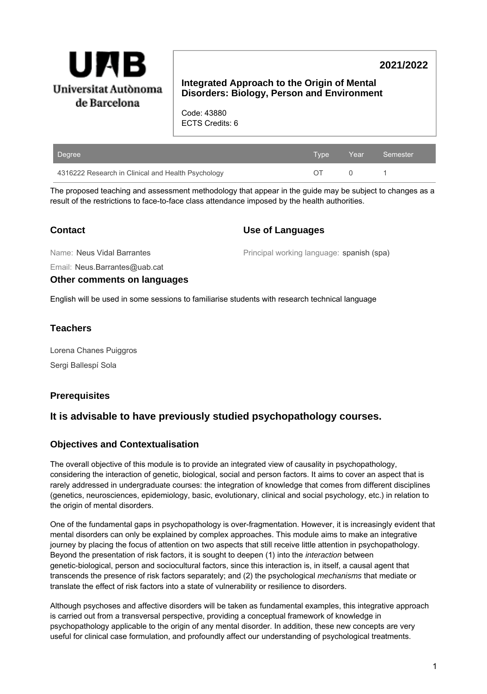

# **2021/2022**

### **Integrated Approach to the Origin of Mental Disorders: Biology, Person and Environment**

Code: 43880 ECTS Credits: 6

| Degree                                             | Type | <b>Example 2</b> Year | Semester |
|----------------------------------------------------|------|-----------------------|----------|
| 4316222 Research in Clinical and Health Psychology | ΩT   |                       |          |

The proposed teaching and assessment methodology that appear in the guide may be subject to changes as a result of the restrictions to face-to-face class attendance imposed by the health authorities.

# **Contact**

### **Use of Languages**

Name: Neus Vidal Barrantes

Principal working language: spanish (spa)

Email: Neus.Barrantes@uab.cat

**Other comments on languages**

English will be used in some sessions to familiarise students with research technical language

# **Teachers**

Lorena Chanes Puiggros Sergi Ballespí Sola

# **Prerequisites**

# **It is advisable to have previously studied psychopathology courses.**

### **Objectives and Contextualisation**

The overall objective of this module is to provide an integrated view of causality in psychopathology, considering the interaction of genetic, biological, social and person factors. It aims to cover an aspect that is rarely addressed in undergraduate courses: the integration of knowledge that comes from different disciplines (genetics, neurosciences, epidemiology, basic, evolutionary, clinical and social psychology, etc.) in relation to the origin of mental disorders.

One of the fundamental gaps in psychopathology is over-fragmentation. However, it is increasingly evident that mental disorders can only be explained by complex approaches. This module aims to make an integrative journey by placing the focus of attention on two aspects that still receive little attention in psychopathology. Beyond the presentation of risk factors, it is sought to deepen (1) into the *interaction* between genetic-biological, person and sociocultural factors, since this interaction is, in itself, a causal agent that transcends the presence of risk factors separately; and (2) the psychological mechanisms that mediate or translate the effect of risk factors into a state of vulnerability or resilience to disorders.

Although psychoses and affective disorders will be taken as fundamental examples, this integrative approach is carried out from a transversal perspective, providing a conceptual framework of knowledge in psychopathology applicable to the origin of any mental disorder. In addition, these new concepts are very useful for clinical case formulation, and profoundly affect our understanding of psychological treatments.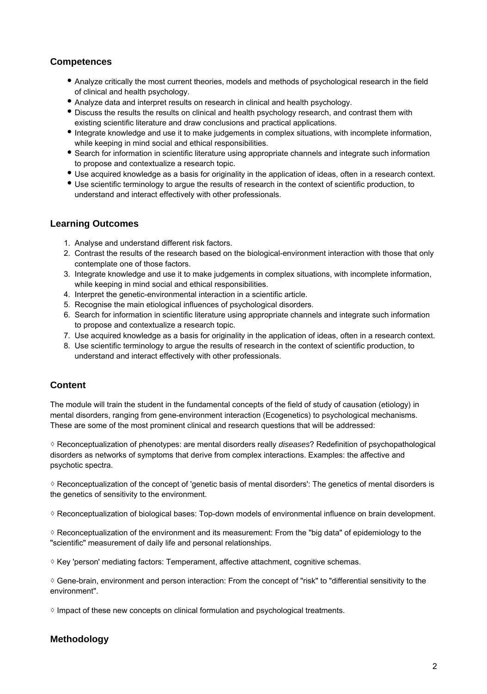### **Competences**

- Analyze critically the most current theories, models and methods of psychological research in the field of clinical and health psychology.
- Analyze data and interpret results on research in clinical and health psychology.
- Discuss the results the results on clinical and health psychology research, and contrast them with existing scientific literature and draw conclusions and practical applications.
- Integrate knowledge and use it to make judgements in complex situations, with incomplete information, while keeping in mind social and ethical responsibilities.
- Search for information in scientific literature using appropriate channels and integrate such information to propose and contextualize a research topic.
- Use acquired knowledge as a basis for originality in the application of ideas, often in a research context.
- Use scientific terminology to argue the results of research in the context of scientific production, to understand and interact effectively with other professionals.

### **Learning Outcomes**

- 1. Analyse and understand different risk factors.
- 2. Contrast the results of the research based on the biological-environment interaction with those that only contemplate one of those factors.
- 3. Integrate knowledge and use it to make judgements in complex situations, with incomplete information, while keeping in mind social and ethical responsibilities.
- 4. Interpret the genetic-environmental interaction in a scientific article.
- 5. Recognise the main etiological influences of psychological disorders.
- 6. Search for information in scientific literature using appropriate channels and integrate such information to propose and contextualize a research topic.
- 7. Use acquired knowledge as a basis for originality in the application of ideas, often in a research context.
- 8. Use scientific terminology to argue the results of research in the context of scientific production, to understand and interact effectively with other professionals.

# **Content**

The module will train the student in the fundamental concepts of the field of study of causation (etiology) in mental disorders, ranging from gene-environment interaction (Ecogenetics) to psychological mechanisms. These are some of the most prominent clinical and research questions that will be addressed:

◊ Reconceptualization of phenotypes: are mental disorders really diseases? Redefinition of psychopathological disorders as networks of symptoms that derive from complex interactions. Examples: the affective and psychotic spectra.

◊ Reconceptualization of the concept of 'genetic basis of mental disorders': The genetics of mental disorders is the genetics of sensitivity to the environment.

◊ Reconceptualization of biological bases: Top-down models of environmental influence on brain development.

◊ Reconceptualization of the environment and its measurement: From the "big data" of epidemiology to the "scientific" measurement of daily life and personal relationships.

 $\Diamond$  Key 'person' mediating factors: Temperament, affective attachment, cognitive schemas.

◊ Gene-brain, environment and person interaction: From the concept of "risk" to "differential sensitivity to the environment".

◊ Impact of these new concepts on clinical formulation and psychological treatments.

# **Methodology**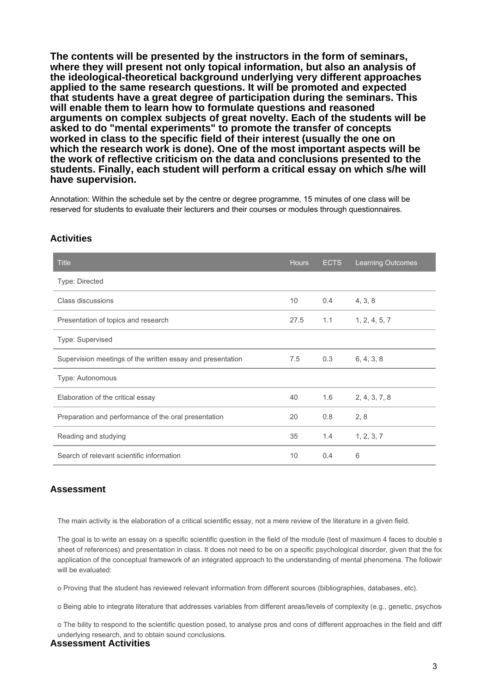**The contents will be presented by the instructors in the form of seminars, where they will present not only topical information, but also an analysis of the ideological-theoretical background underlying very different approaches applied to the same research questions. It will be promoted and expected that students have a great degree of participation during the seminars. This will enable them to learn how to formulate questions and reasoned arguments on complex subjects of great novelty. Each of the students will be asked to do "mental experiments" to promote the transfer of concepts worked in class to the specific field of their interest (usually the one on which the research work is done). One of the most important aspects will be the work of reflective criticism on the data and conclusions presented to the students. Finally, each student will perform a critical essay on which s/he will have supervision.**

Annotation: Within the schedule set by the centre or degree programme, 15 minutes of one class will be reserved for students to evaluate their lecturers and their courses or modules through questionnaires.

| <b>Title</b>                                               | <b>Hours</b> | <b>ECTS</b> | <b>Learning Outcomes</b> |
|------------------------------------------------------------|--------------|-------------|--------------------------|
| Type: Directed                                             |              |             |                          |
| Class discussions                                          | 10           | 0.4         | 4, 3, 8                  |
| Presentation of topics and research                        | 27.5         | 1.1         | 1, 2, 4, 5, 7            |
| Type: Supervised                                           |              |             |                          |
| Supervision meetings of the written essay and presentation | 7.5          | 0.3         | 6, 4, 3, 8               |
| Type: Autonomous                                           |              |             |                          |
| Elaboration of the critical essay                          | 40           | 1.6         | 2, 4, 3, 7, 8            |
| Preparation and performance of the oral presentation       | 20           | 0.8         | 2, 8                     |
| Reading and studying                                       | 35           | 1.4         | 1, 2, 3, 7               |
| Search of relevant scientific information                  | 10           | 0.4         | 6                        |

#### **Activities**

### **Assessment**

The main activity is the elaboration of a critical scientific essay, not a mere review of the literature in a given field.

The goal is to write an essay on a specific scientific question in the field of the module (test of maximum 4 faces to double s sheet of references) and presentation in class. It does not need to be on a specific psychological disorder, given that the focus application of the conceptual framework of an integrated approach to the understanding of mental phenomena. The followir will be evaluated:

o Proving that the student has reviewed relevant information from different sources (bibliographies, databases, etc).

o Being able to integrate literature that addresses variables from different areas/levels of complexity (e.g., genetic, psychos

o The bility to respond to the scientific question posed, to analyse pros and cons of different approaches in the field and diff underlying research, and to obtain sound conclusions.

#### **Assessment Activities**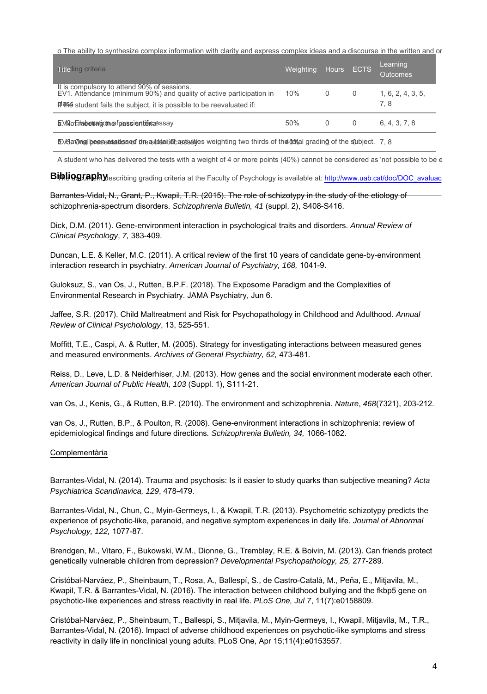o The ability to synthesize complex information with clarity and express complex ideas and a discourse in the written and or

| <b>Giteding criteria</b>                                                                                                                                                                             | Weighting | Hours ECTS |   | Learning<br>Outcomes     |
|------------------------------------------------------------------------------------------------------------------------------------------------------------------------------------------------------|-----------|------------|---|--------------------------|
| It is compulsory to attend 90% of sessions.<br>EV1. Attendance (minimum 90%) and quality of active participation in<br><b>FI बाक</b> student fails the subject, it is possible to be reevaluated if: | 10%       | $\Omega$   | 0 | 1, 6, 2, 4, 3, 5,<br>7.8 |
| E. Villo Entable britantic the frames is entitled as say                                                                                                                                             | 50%       | O          | O | 6.4.3.7.8                |

b.V3.aOinglibeeseatstissed thea total inteastigaties weighting two thirds of the 103 tal grading of the subject. 7, 8

A student who has delivered the tests with a weight of 4 or more points (40%) cannot be considered as 'not possible to be  $\epsilon$ 

 $\mathsf{Bihlig}$ graphy $\mathsf{y}_\mathsf{esc}$ ribing grading criteria at the Faculty of Psychology is available at: http://www.uab.cat/doc/DOC\_avaluac

Barrantes-Vidal, N., Grant, P., Kwapil, T.R. (2015). The role of schizotypy in the study of the etiology of schizophrenia-spectrum disorders. Schizophrenia Bulletin, 41 (suppl. 2), S408-S416.

Dick, D.M. (2011). Gene-environment interaction in psychological traits and disorders. Annual Review of Clinical Psychology, 7, 383-409.

Duncan, L.E. & Keller, M.C. (2011). A critical review of the first 10 years of candidate gene-by-environment interaction research in psychiatry. American Journal of Psychiatry, 168, 1041-9.

Guloksuz, S., van Os, J., Rutten, B.P.F. (2018). The Exposome Paradigm and the Complexities of Environmental Research in Psychiatry. JAMA Psychiatry, Jun 6.

Jaffee, S.R. (2017). Child Maltreatment and Risk for Psychopathology in Childhood and Adulthood. Annual Review of Clinical Psycholology, 13, 525-551.

Moffitt, T.E., Caspi, A. & Rutter, M. (2005). Strategy for investigating interactions between measured genes and measured environments. Archives of General Psychiatry, 62, 473-481.

Reiss, D., Leve, L.D. & Neiderhiser, J.M. (2013). How genes and the social environment moderate each other. American Journal of Public Health, 103 (Suppl. 1), S111-21.

van Os, J., Kenis, G., & Rutten, B.P. (2010). The environment and schizophrenia. Nature, 468(7321), 203-212.

van Os, J., Rutten, B.P., & Poulton, R. (2008). Gene-environment interactions in schizophrenia: review of epidemiological findings and future directions. Schizophrenia Bulletin, 34, 1066-1082.

#### Complementària

Barrantes-Vidal, N. (2014). Trauma and psychosis: Is it easier to study quarks than subjective meaning? Acta Psychiatrica Scandinavica, 129, 478-479.

Barrantes-Vidal, N., Chun, C., Myin-Germeys, I., & Kwapil, T.R. (2013). Psychometric schizotypy predicts the experience of psychotic-like, paranoid, and negative symptom experiences in daily life. Journal of Abnormal Psychology, 122, 1077-87.

Brendgen, M., Vitaro, F., Bukowski, W.M., Dionne, G., Tremblay, R.E. & Boivin, M. (2013). Can friends protect genetically vulnerable children from depression? Developmental Psychopathology, 25, 277-289.

Cristóbal-Narváez, P., Sheinbaum, T., Rosa, A., Ballespí, S., de Castro-Català, M., Peña, E., Mitjavila, M., Kwapil, T.R. & Barrantes-Vidal, N. (2016). The interaction between childhood bullying and the fkbp5 gene on psychotic-like experiences and stress reactivity in real life. PLoS One, Jul 7, 11(7):e0158809.

Cristóbal-Narváez, P., Sheinbaum, T., Ballespí, S., Mitjavila, M., Myin-Germeys, I., Kwapil, Mitjavila, M., T.R., Barrantes-Vidal, N. (2016). Impact of adverse childhood experiences on psychotic-like symptoms and stress reactivity in daily life in nonclinical young adults. PLoS One, Apr 15;11(4):e0153557.